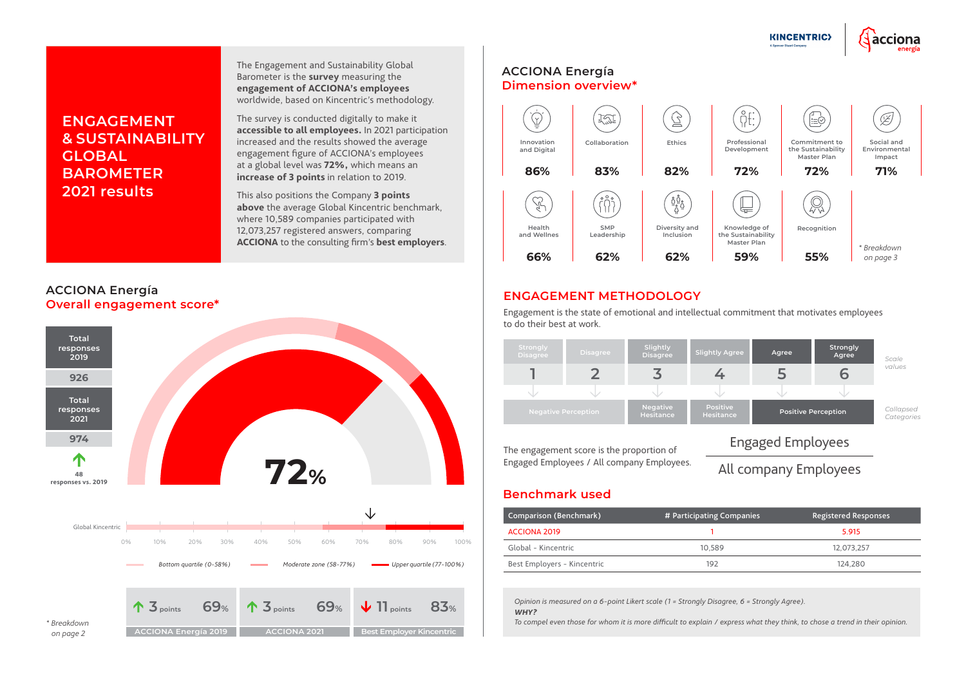#### **ACCIONA Energía Overall engagement score\***

#### **Benchmark used**

| Comparison (Benchmark)      | # Participating Companies | <b>Registered Responses</b> |  |  |
|-----------------------------|---------------------------|-----------------------------|--|--|
| ACCIONA 2019                |                           | 5.915                       |  |  |
| Global - Kincentric         | 10.589                    | 12.073.257                  |  |  |
| Best Employers - Kincentric | 192                       | 124.280                     |  |  |

# **ENGAGEMENT & SUSTAINABILITY GLOBAL BAROMETER 2021 results**

The Engagement and Sustainability Global Barometer is the **survey** measuring the **engagement of ACCIONA's employees**  worldwide, based on Kincentric's methodology.

The survey is conducted digitally to make it **accessible to all employees.** In 2021 participation increased and the results showed the average engagement figure of ACCIONA's employees at a global level was **72%,** which means an **increase of 3 points** in relation to 2019.

This also positions the Company **3 points above** the average Global Kincentric benchmark, where 10,589 companies participated with 12,073,257 registered answers, comparing **ACCIONA** to the consulting firm's **best employers**.

> *Opinion is measured on a 6-point Likert scale (1 = Strongly Disagree, 6 = Strongly Agree). WHY?*



*To compel even those for whom it is more difficult to explain / express what they think, to chose a trend in their opinion.*





### **ENGAGEMENT METHODOLOGY**



Engagement is the state of emotional and intellectual commitment that motivates employees to do their best at work.

The engagement score is the proportion of Engaged Employees / All company Employees.



# Engaged Employees

# All company Employees

#### **ACCIONA Energía Dimension overview\***

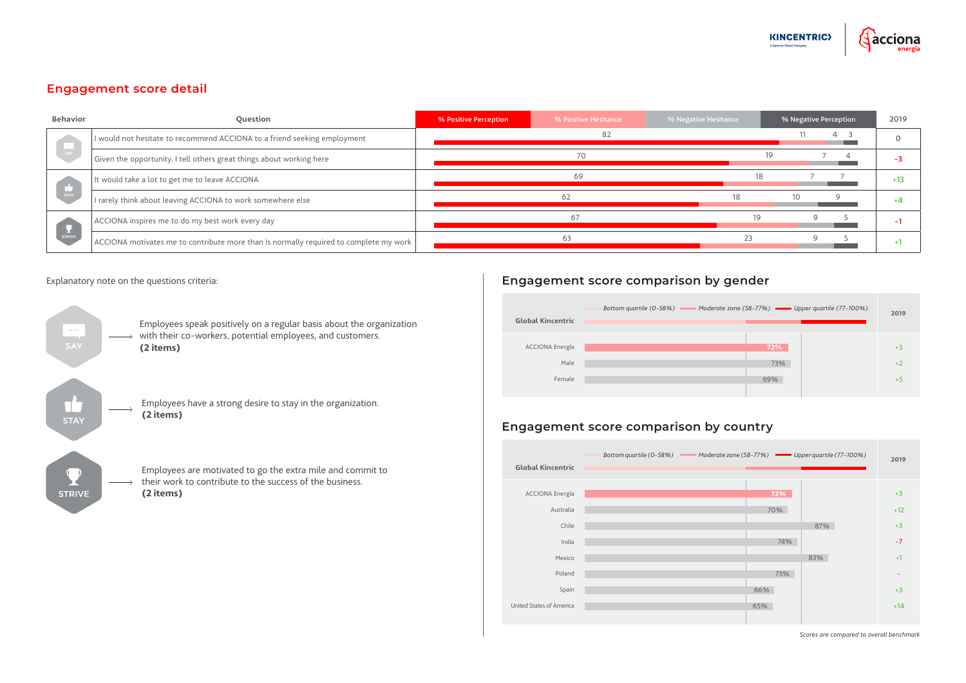## **Engagement score detail**

| <b>Behavior</b>                                                                                                   | <b>Question</b>                                                                       | % Positive Perception | % Positive Hesitance | % Negative Hesitance | % Negative Perception | 2019  |
|-------------------------------------------------------------------------------------------------------------------|---------------------------------------------------------------------------------------|-----------------------|----------------------|----------------------|-----------------------|-------|
|                                                                                                                   | I would not hesitate to recommend ACCIONA to a friend seeking employment              |                       | 82                   |                      | 4                     |       |
| SAY                                                                                                               | Given the opportunity, I tell others great things about working here                  |                       | 70.                  |                      | 19.                   |       |
| $\begin{array}{ c c }\n\hline\n\text{str} & \text{str} \\ \hline\n\text{str} & \text{str} \\ \hline\n\end{array}$ | It would take a lot to get me to leave ACCIONA                                        |                       | 69                   |                      | 18                    | $+13$ |
|                                                                                                                   | I rarely think about leaving ACCIONA to work somewhere else                           |                       | 62                   |                      | 10                    |       |
| STRIVE                                                                                                            | ACCIONA inspires me to do my best work every day                                      |                       | 67                   |                      |                       |       |
|                                                                                                                   | ACCIONA motivates me to contribute more than is normally required to complete my work |                       | 63                   |                      |                       |       |



#### Explanatory note on the questions criteria:

#### **Engagement score comparison by gender**

| one (58-77%) <b>WEER</b> Upper quartile (77-100%) | 2019 |
|---------------------------------------------------|------|
| 72%                                               | $+3$ |
| 73%                                               | $+2$ |
| 69%                                               | $+5$ |
|                                                   |      |



### **Engagement score comparison by country**

*Scores are compared to overall benchmark*

| one (58-77%) – Upper quartile (77-100%) | 2019  |
|-----------------------------------------|-------|
|                                         |       |
| 72%                                     | $+3$  |
| 70%                                     | $+12$ |
| 87%                                     | $+3$  |
| 74%                                     | $-7$  |
| 83%                                     | $+1$  |
| 73%                                     |       |
| 66%                                     | $+3$  |
| 65%                                     | $+14$ |
|                                         |       |